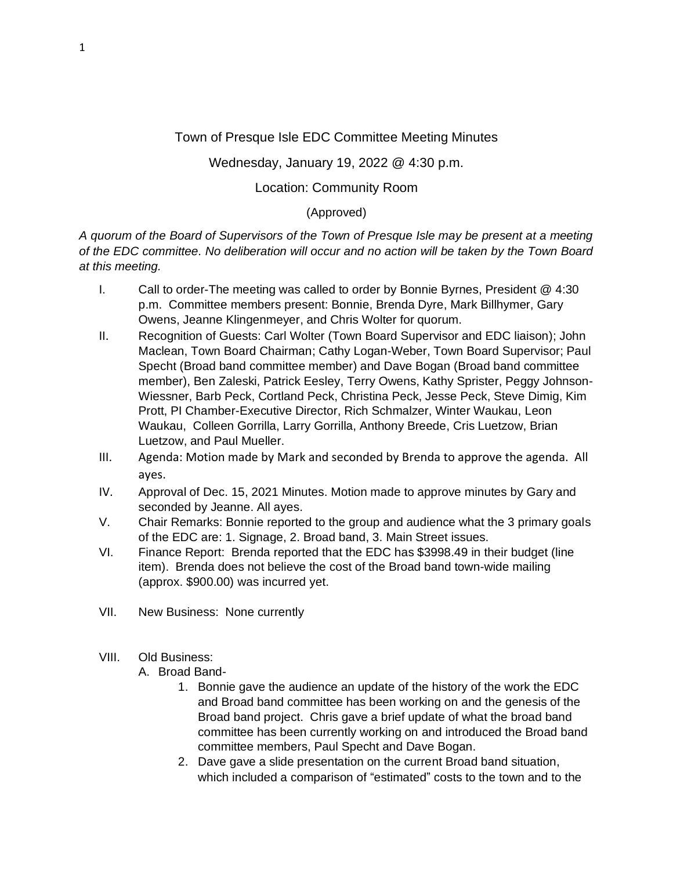## Town of Presque Isle EDC Committee Meeting Minutes

## Wednesday, January 19, 2022 @ 4:30 p.m.

## Location: Community Room

## (Approved)

*A quorum of the Board of Supervisors of the Town of Presque Isle may be present at a meeting of the EDC committee. No deliberation will occur and no action will be taken by the Town Board at this meeting.*

- I. Call to order-The meeting was called to order by Bonnie Byrnes, President @ 4:30 p.m. Committee members present: Bonnie, Brenda Dyre, Mark Billhymer, Gary Owens, Jeanne Klingenmeyer, and Chris Wolter for quorum.
- II. Recognition of Guests: Carl Wolter (Town Board Supervisor and EDC liaison); John Maclean, Town Board Chairman; Cathy Logan-Weber, Town Board Supervisor; Paul Specht (Broad band committee member) and Dave Bogan (Broad band committee member), Ben Zaleski, Patrick Eesley, Terry Owens, Kathy Sprister, Peggy Johnson-Wiessner, Barb Peck, Cortland Peck, Christina Peck, Jesse Peck, Steve Dimig, Kim Prott, PI Chamber-Executive Director, Rich Schmalzer, Winter Waukau, Leon Waukau, Colleen Gorrilla, Larry Gorrilla, Anthony Breede, Cris Luetzow, Brian Luetzow, and Paul Mueller.
- III. Agenda: Motion made by Mark and seconded by Brenda to approve the agenda. All ayes.
- IV. Approval of Dec. 15, 2021 Minutes. Motion made to approve minutes by Gary and seconded by Jeanne. All ayes.
- V. Chair Remarks: Bonnie reported to the group and audience what the 3 primary goals of the EDC are: 1. Signage, 2. Broad band, 3. Main Street issues.
- VI. Finance Report: Brenda reported that the EDC has \$3998.49 in their budget (line item). Brenda does not believe the cost of the Broad band town-wide mailing (approx. \$900.00) was incurred yet.
- VII. New Business: None currently
- VIII. Old Business:
	- A. Broad Band-
		- 1. Bonnie gave the audience an update of the history of the work the EDC and Broad band committee has been working on and the genesis of the Broad band project. Chris gave a brief update of what the broad band committee has been currently working on and introduced the Broad band committee members, Paul Specht and Dave Bogan.
		- 2. Dave gave a slide presentation on the current Broad band situation, which included a comparison of "estimated" costs to the town and to the